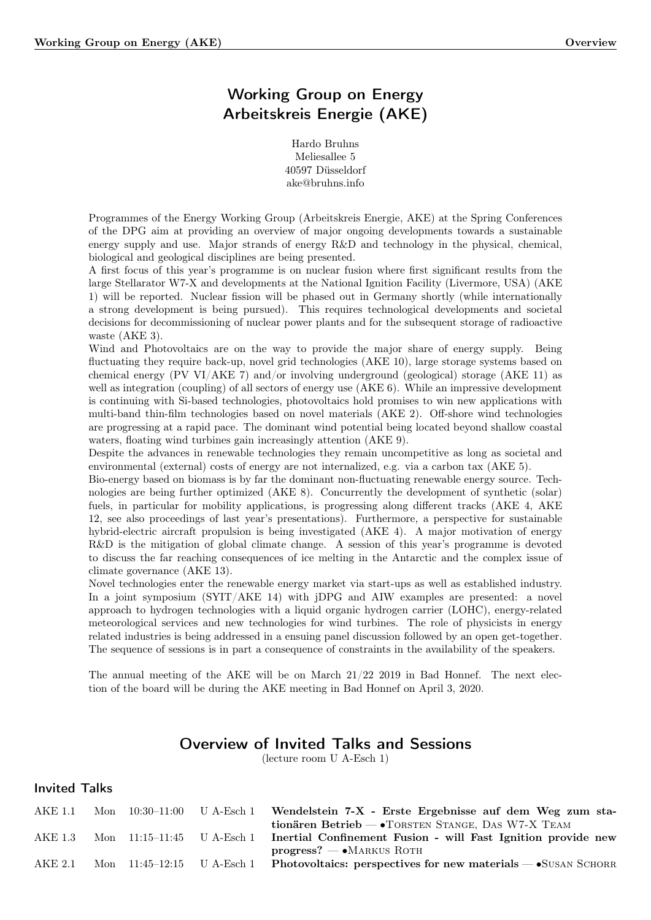# Working Group on Energy Arbeitskreis Energie (AKE)

Hardo Bruhns Meliesallee 5 40597 Düsseldorf ake@bruhns.info

Programmes of the Energy Working Group (Arbeitskreis Energie, AKE) at the Spring Conferences of the DPG aim at providing an overview of major ongoing developments towards a sustainable energy supply and use. Major strands of energy R&D and technology in the physical, chemical, biological and geological disciplines are being presented.

A first focus of this year's programme is on nuclear fusion where first significant results from the large Stellarator W7-X and developments at the National Ignition Facility (Livermore, USA) (AKE 1) will be reported. Nuclear fission will be phased out in Germany shortly (while internationally a strong development is being pursued). This requires technological developments and societal decisions for decommissioning of nuclear power plants and for the subsequent storage of radioactive waste (AKE 3).

Wind and Photovoltaics are on the way to provide the major share of energy supply. Being fluctuating they require back-up, novel grid technologies (AKE 10), large storage systems based on chemical energy (PV VI/AKE 7) and/or involving underground (geological) storage (AKE 11) as well as integration (coupling) of all sectors of energy use (AKE 6). While an impressive development is continuing with Si-based technologies, photovoltaics hold promises to win new applications with multi-band thin-film technologies based on novel materials (AKE 2). Off-shore wind technologies are progressing at a rapid pace. The dominant wind potential being located beyond shallow coastal waters, floating wind turbines gain increasingly attention (AKE 9).

Despite the advances in renewable technologies they remain uncompetitive as long as societal and environmental (external) costs of energy are not internalized, e.g. via a carbon tax (AKE 5).

Bio-energy based on biomass is by far the dominant non-fluctuating renewable energy source. Technologies are being further optimized (AKE 8). Concurrently the development of synthetic (solar) fuels, in particular for mobility applications, is progressing along different tracks (AKE 4, AKE 12, see also proceedings of last year's presentations). Furthermore, a perspective for sustainable hybrid-electric aircraft propulsion is being investigated (AKE 4). A major motivation of energy R&D is the mitigation of global climate change. A session of this year's programme is devoted to discuss the far reaching consequences of ice melting in the Antarctic and the complex issue of climate governance (AKE 13).

Novel technologies enter the renewable energy market via start-ups as well as established industry. In a joint symposium (SYIT/AKE 14) with jDPG and AIW examples are presented: a novel approach to hydrogen technologies with a liquid organic hydrogen carrier (LOHC), energy-related meteorological services and new technologies for wind turbines. The role of physicists in energy related industries is being addressed in a ensuing panel discussion followed by an open get-together. The sequence of sessions is in part a consequence of constraints in the availability of the speakers.

The annual meeting of the AKE will be on March  $21/22$  2019 in Bad Honnef. The next election of the board will be during the AKE meeting in Bad Honnef on April 3, 2020.

# Overview of Invited Talks and Sessions

(lecture room U A-Esch 1)

## Invited Talks

| AKE 1.1 |  | Mon $10:30-11:00$ U A-Esch 1 | Wendelstein 7-X - Erste Ergebnisse auf dem Weg zum sta-                                     |
|---------|--|------------------------------|---------------------------------------------------------------------------------------------|
|         |  |                              | tionären Betrieb $-\bullet$ TORSTEN STANGE, DAS W7-X TEAM                                   |
| AKE 1.3 |  | Mon $11:15-11:45$ U A-Esch 1 | Inertial Confinement Fusion - will Fast Ignition provide new                                |
|         |  |                              | $\text{progress?} \longrightarrow \text{MARKUS ROTH}$                                       |
| AKE 2.1 |  |                              | Mon $11:45-12:15$ U A-Esch 1 Photovoltaics: perspectives for new materials $-$ SUSAN SCHORR |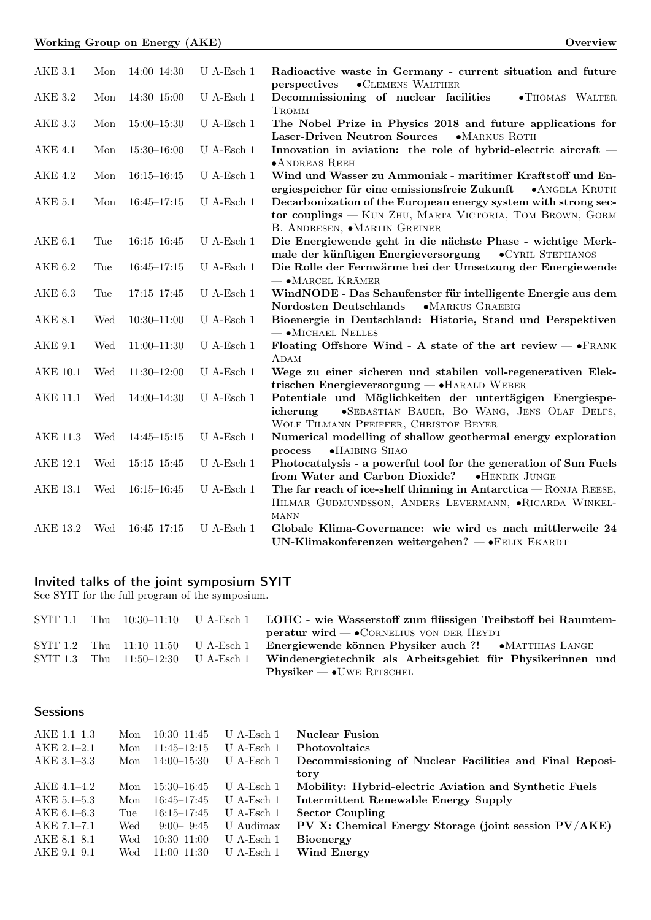| <b>AKE 3.1</b>  | Mon | $14:00 - 14:30$ | U A-Esch $1$         | Radioactive waste in Germany - current situation and future<br>perspectives — . CLEMENS WALTHER                                                                     |
|-----------------|-----|-----------------|----------------------|---------------------------------------------------------------------------------------------------------------------------------------------------------------------|
| <b>AKE 3.2</b>  | Mon | $14:30 - 15:00$ | U A-Esch $1$         | Decommissioning of nuclear facilities $ \bullet$ THOMAS WALTER<br>TROMM                                                                                             |
| AKE 3.3         | Mon | $15:00 - 15:30$ | $U$ A-Esch 1         | The Nobel Prize in Physics 2018 and future applications for<br>Laser-Driven Neutron Sources - • MARKUS ROTH                                                         |
| <b>AKE 4.1</b>  | Mon | $15:30 - 16:00$ | $U$ A-Esch 1         | Innovation in aviation: the role of hybrid-electric aircraft $-$<br>$\bullet$ ANDREAS REEH                                                                          |
| <b>AKE 4.2</b>  | Mon | $16:15 - 16:45$ | $U$ A-Esch 1         | Wind und Wasser zu Ammoniak - maritimer Kraftstoff und En-<br>ergiespeicher für eine emissionsfreie Zukunft — • ANGELA KRUTH                                        |
| <b>AKE 5.1</b>  | Mon | $16:45 - 17:15$ | $U$ A-Esch 1         | Decarbonization of the European energy system with strong sec-<br>tor couplings - KUN ZHU, MARTA VICTORIA, TOM BROWN, GORM<br>B. ANDRESEN, $\bullet$ MARTIN GREINER |
| AKE $6.1$       | Tue | $16:15 - 16:45$ | $U$ A-Esch 1         | Die Energiewende geht in die nächste Phase - wichtige Merk-<br>male der künftigen Energieversorgung - CYRIL STEPHANOS                                               |
| <b>AKE 6.2</b>  | Tue | $16:45 - 17:15$ | U A-Esch $1$         | Die Rolle der Fernwärme bei der Umsetzung der Energiewende<br>$ \bullet$ MARCEL KRÄMER                                                                              |
| <b>AKE 6.3</b>  | Tue | $17:15 - 17:45$ | ${\rm U}$ A-Esch $1$ | WindNODE - Das Schaufenster für intelligente Energie aus dem<br>Nordosten Deutschlands - • MARKUS GRAEBIG                                                           |
| <b>AKE 8.1</b>  | Wed | $10:30 - 11:00$ | U A-Esch $1$         | Bioenergie in Deutschland: Historie, Stand und Perspektiven<br>$ \bullet$ MICHAEL NELLES                                                                            |
| <b>AKE 9.1</b>  | Wed | $11:00-11:30$   | ${\rm U}$ A-Esch $1$ | Floating Offshore Wind - A state of the art review $ \bullet$ FRANK<br>ADAM                                                                                         |
| <b>AKE 10.1</b> | Wed | $11:30-12:00$   | $\,$ U A-Esch $\,1$  | Wege zu einer sicheren und stabilen voll-regenerativen Elek-<br>trischen Energieversorgung - HARALD WEBER                                                           |
| <b>AKE 11.1</b> | Wed | $14:00 - 14:30$ | $U$ A-Esch 1         | Potentiale und Möglichkeiten der untertägigen Energiespe-<br>icherung - SEBASTIAN BAUER, BO WANG, JENS OLAF DELFS,<br>WOLF TILMANN PFEIFFER, CHRISTOF BEYER         |
| <b>AKE 11.3</b> | Wed | $14:45 - 15:15$ | ${\rm U}$ A-Esch $1$ | Numerical modelling of shallow geothermal energy exploration<br>$process$ $\bullet$ HAIBING SHAO                                                                    |
| <b>AKE 12.1</b> | Wed | $15:15 - 15:45$ | $U$ A-Esch 1         | Photocatalysis - a powerful tool for the generation of Sun Fuels<br>from Water and Carbon Dioxide? - HENRIK JUNGE                                                   |
| <b>AKE 13.1</b> | Wed | $16:15 - 16:45$ | $U$ A-Esch 1         | The far reach of ice-shelf thinning in Antarctica - RONJA REESE,<br>HILMAR GUDMUNDSSON, ANDERS LEVERMANN, .RICARDA WINKEL-<br><b>MANN</b>                           |
| <b>AKE 13.2</b> | Wed | $16:45 - 17:15$ | $U$ A-Esch 1         | Globale Klima-Governance: wie wird es nach mittlerweile 24<br>UN-Klimakonferenzen weitergehen? - FELIX EKARDT                                                       |

### Invited talks of the joint symposium SYIT

See SYIT for the full program of the symposium.

|  |                            |                                       | SYIT 1.1 Thu 10:30–11:10 U A-Esch 1 LOHC - wie Wasserstoff zum flüssigen Treibstoff bei Raumtem- |
|--|----------------------------|---------------------------------------|--------------------------------------------------------------------------------------------------|
|  |                            |                                       | $\text{perature wird} \longrightarrow \text{CORNELIUS VON DER HEYDT}$                            |
|  | SYIT 1.2 Thu $11:10-11:50$ | U A-Esch 1                            | Energiewende können Physiker auch ?! $\rightarrow$ MATTHIAS LANGE                                |
|  |                            | SYIT 1.3 Thu $11:50-12:30$ U A-Esch 1 | Windenergietechnik als Arbeitsgebiet für Physikerinnen und                                       |
|  |                            |                                       | $Phvsiker - \bullet UWE RITSCHEL$                                                                |

## **Sessions**

| AKE 1.1-1.3     | Mon | $10:30-11:45$   | $U$ A-Esch 1 | <b>Nuclear Fusion</b>                                   |
|-----------------|-----|-----------------|--------------|---------------------------------------------------------|
| $AKE 2.1 - 2.1$ | Mon | $11:45 - 12:15$ | $U$ A-Esch 1 | <b>Photovoltaics</b>                                    |
| $AKE$ 3.1-3.3   | Mon | $14:00 - 15:30$ | U A-Esch 1   | Decommissioning of Nuclear Facilities and Final Reposi- |
|                 |     |                 |              | tory                                                    |
| AKE 4.1–4.2     | Mon | $15:30 - 16:45$ | U A-Esch 1   | Mobility: Hybrid-electric Aviation and Synthetic Fuels  |
| AKE 5.1–5.3     | Mon | $16:45 - 17:45$ | $U$ A-Esch 1 | Intermittent Renewable Energy Supply                    |
| AKE 6.1–6.3     | Tue | $16:15 - 17:45$ | $U$ A-Esch 1 | <b>Sector Coupling</b>                                  |
| $AKE 7.1 - 7.1$ | Wed | $9:00 - 9:45$   | U Audimax    | PV X: Chemical Energy Storage (joint session PV/AKE)    |
| $AKE 8.1 - 8.1$ | Wed | $10:30 - 11:00$ | $U$ A-Esch 1 | <b>Bioenergy</b>                                        |
| $AKE 9.1 - 9.1$ | Wed | $11:00 - 11:30$ | U A-Esch 1   | Wind Energy                                             |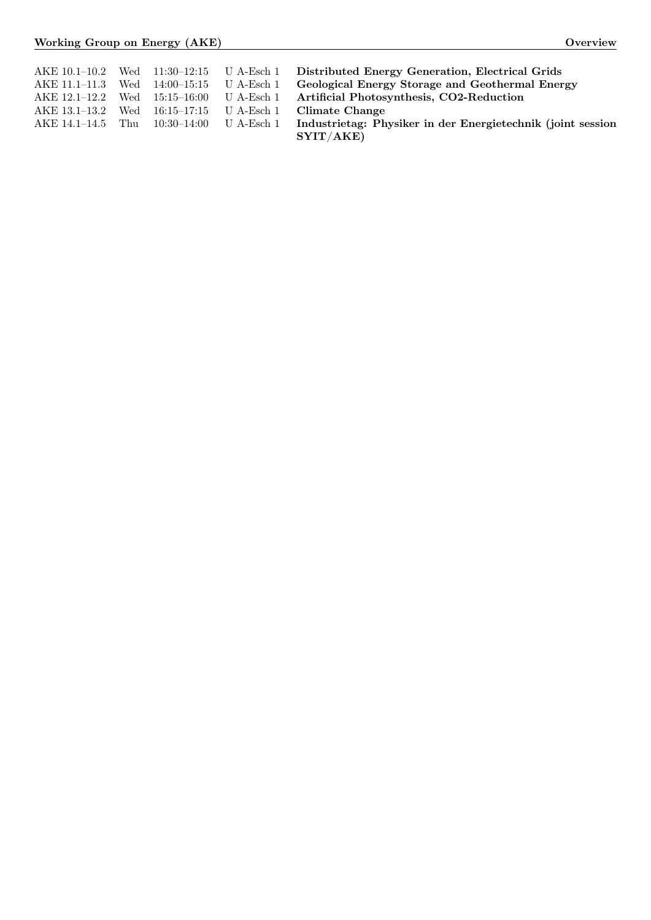|                                          |  | AKE 10.1–10.2 Wed 11:30–12:15 U A-Esch 1 Distributed Energy Generation, Electrical Grids             |
|------------------------------------------|--|------------------------------------------------------------------------------------------------------|
| AKE 11.1-11.3 Wed 14:00-15:15 U A-Esch 1 |  | Geological Energy Storage and Geothermal Energy                                                      |
|                                          |  | AKE 12.1-12.2 Wed 15:15-16:00 U A-Esch 1 Artificial Photosynthesis, CO2-Reduction                    |
| AKE 13.1–13.2 Wed 16:15–17:15 U A-Esch 1 |  | Climate Change                                                                                       |
|                                          |  | AKE 14.1–14.5 Thu 10:30–14:00 U A-Esch 1 Industrietag: Physiker in der Energietechnik (joint session |
|                                          |  | SYIT/AKE)                                                                                            |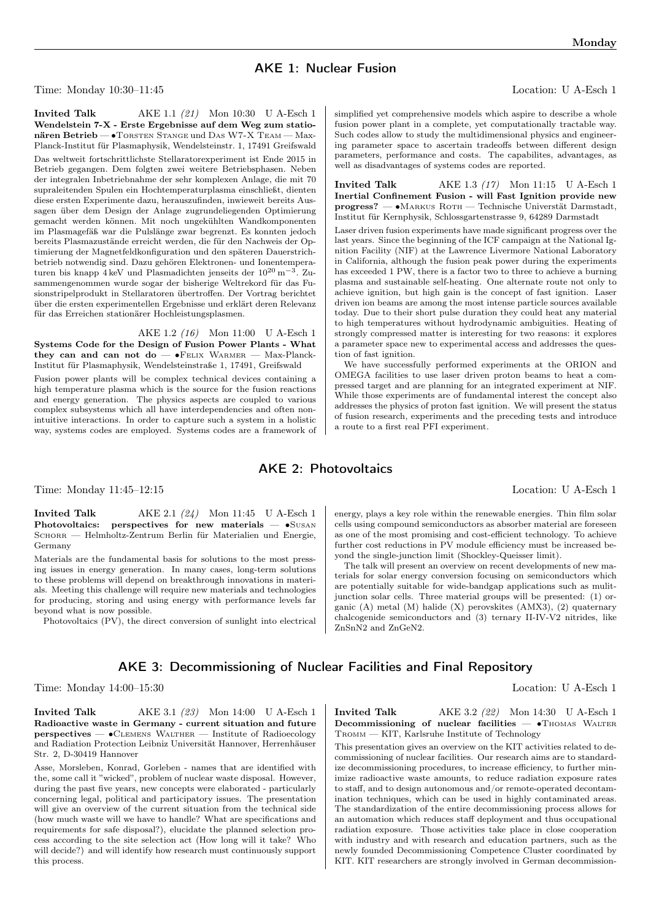# AKE 1: Nuclear Fusion

Time: Monday 10:30–11:45 Location: U A-Esch 1

**Invited Talk** AKE 1.1 (21) Mon 10:30 U A-Esch 1 Wendelstein 7-X - Erste Ergebnisse auf dem Weg zum stationären Betrieb — •TORSTEN STANGE und DAS W7-X TEAM — Max-Planck-Institut für Plasmaphysik, Wendelsteinstr. 1, 17491 Greifswald Das weltweit fortschrittlichste Stellaratorexperiment ist Ende 2015 in Betrieb gegangen. Dem folgten zwei weitere Betriebsphasen. Neben der integralen Inbetriebnahme der sehr komplexen Anlage, die mit 70 supraleitenden Spulen ein Hochtemperaturplasma einschließt, dienten diese ersten Experimente dazu, herauszufinden, inwieweit bereits Aussagen über dem Design der Anlage zugrundeliegenden Optimierung gemacht werden können. Mit noch ungekühlten Wandkomponenten im Plasmagefäß war die Pulslänge zwar begrenzt. Es konnten jedoch bereits Plasmazustände erreicht werden, die für den Nachweis der Optimierung der Magnetfeldkonfiguration und den späteren Dauerstrichbetrieb notwendig sind. Dazu gehören Elektronen- und Ionentemperaturen bis knapp 4 keV und Plasmadichten jenseits der 10<sup>20</sup> m<sup>−3</sup>. Zusammengenommen wurde sogar der bisherige Weltrekord für das Fusionstripelprodukt in Stellaratoren übertroffen. Der Vortrag berichtet über die ersten experimentellen Ergebnisse und erklärt deren Relevanz für das Erreichen stationärer Hochleistungsplasmen.

AKE 1.2 (16) Mon 11:00 U A-Esch 1 Systems Code for the Design of Fusion Power Plants - What they can and can not do —  $\bullet$ FELIX WARMER — Max-Planck-Institut für Plasmaphysik, Wendelsteinstraße 1, 17491, Greifswald Fusion power plants will be complex technical devices containing a high temperature plasma which is the source for the fusion reactions and energy generation. The physics aspects are coupled to various complex subsystems which all have interdependencies and often nonintuitive interactions. In order to capture such a system in a holistic way, systems codes are employed. Systems codes are a framework of simplified yet comprehensive models which aspire to describe a whole fusion power plant in a complete, yet computationally tractable way. Such codes allow to study the multidimensional physics and engineering parameter space to ascertain tradeoffs between different design parameters, performance and costs. The capabilites, advantages, as well as disadvantages of systems codes are reported.

Invited Talk AKE 1.3 (17) Mon 11:15 U A-Esch 1 Inertial Confinement Fusion - will Fast Ignition provide new progress? — ∙Markus Roth — Technische Universtät Darmstadt, Institut für Kernphysik, Schlossgartenstrasse 9, 64289 Darmstadt

Laser driven fusion experiments have made significant progress over the last years. Since the beginning of the ICF campaign at the National Ignition Facility (NIF) at the Lawrence Livermore National Laboratory in California, although the fusion peak power during the experiments has exceeded 1 PW, there is a factor two to three to achieve a burning plasma and sustainable self-heating. One alternate route not only to achieve ignition, but high gain is the concept of fast ignition. Laser driven ion beams are among the most intense particle sources available today. Due to their short pulse duration they could heat any material to high temperatures without hydrodynamic ambiguities. Heating of strongly compressed matter is interesting for two reasons: it explores a parameter space new to experimental access and addresses the question of fast ignition.

We have successfully performed experiments at the ORION and OMEGA facilities to use laser driven proton beams to heat a compressed target and are planning for an integrated experiment at NIF. While those experiments are of fundamental interest the concept also addresses the physics of proton fast ignition. We will present the status of fusion research, experiments and the preceding tests and introduce a route to a first real PFI experiment.

### AKE 2: Photovoltaics

Time: Monday 11:45–12:15 Location: U A-Esch 1

**Invited Talk**  $AKE 2.1 (24)$  Mon 11:45 U A-Esch 1 Photovoltaics: perspectives for new materials —  $\bullet$ Susan SCHORR — Helmholtz-Zentrum Berlin für Materialien und Energie, Germany

Materials are the fundamental basis for solutions to the most pressing issues in energy generation. In many cases, long-term solutions to these problems will depend on breakthrough innovations in materials. Meeting this challenge will require new materials and technologies for producing, storing and using energy with performance levels far beyond what is now possible.

Photovoltaics (PV), the direct conversion of sunlight into electrical

energy, plays a key role within the renewable energies. Thin film solar cells using compound semiconductors as absorber material are foreseen as one of the most promising and cost-efficient technology. To achieve further cost reductions in PV module efficiency must be increased beyond the single-junction limit (Shockley-Queisser limit).

The talk will present an overview on recent developments of new materials for solar energy conversion focusing on semiconductors which are potentially suitable for wide-bandgap applications such as mulitjunction solar cells. Three material groups will be presented: (1) organic (A) metal (M) halide (X) perovskites (AMX3), (2) quaternary chalcogenide semiconductors and (3) ternary II-IV-V2 nitrides, like ZnSnN2 and ZnGeN2.

## AKE 3: Decommissioning of Nuclear Facilities and Final Repository

Time: Monday 14:00–15:30 Location: U A-Esch 1

**Invited Talk** AKE 3.1 (23) Mon 14:00 U A-Esch 1 Radioactive waste in Germany - current situation and future perspectives — ∙Clemens Walther — Institute of Radioecology and Radiation Protection Leibniz Universität Hannover, Herrenhäuser Str. 2, D-30419 Hannover

Asse, Morsleben, Konrad, Gorleben - names that are identified with the, some call it "wicked", problem of nuclear waste disposal. However, during the past five years, new concepts were elaborated - particularly concerning legal, political and participatory issues. The presentation will give an overview of the current situation from the technical side (how much waste will we have to handle? What are specifications and requirements for safe disposal?), elucidate the planned selection process according to the site selection act (How long will it take? Who will decide?) and will identify how research must continuously support this process.

Invited Talk AKE 3.2 (22) Mon 14:30 U A-Esch 1 Decommissioning of nuclear facilities — •Thomas WALTER Tromm — KIT, Karlsruhe Institute of Technology

This presentation gives an overview on the KIT activities related to decommissioning of nuclear facilities. Our research aims are to standardize decommissioning procedures, to increase efficiency, to further minimize radioactive waste amounts, to reduce radiation exposure rates to staff, and to design autonomous and/or remote-operated decontamination techniques, which can be used in highly contaminated areas. The standardization of the entire decommissioning process allows for an automation which reduces staff deployment and thus occupational radiation exposure. Those activities take place in close cooperation with industry and with research and education partners, such as the newly founded Decommissioning Competence Cluster coordinated by KIT. KIT researchers are strongly involved in German decommission-

Monday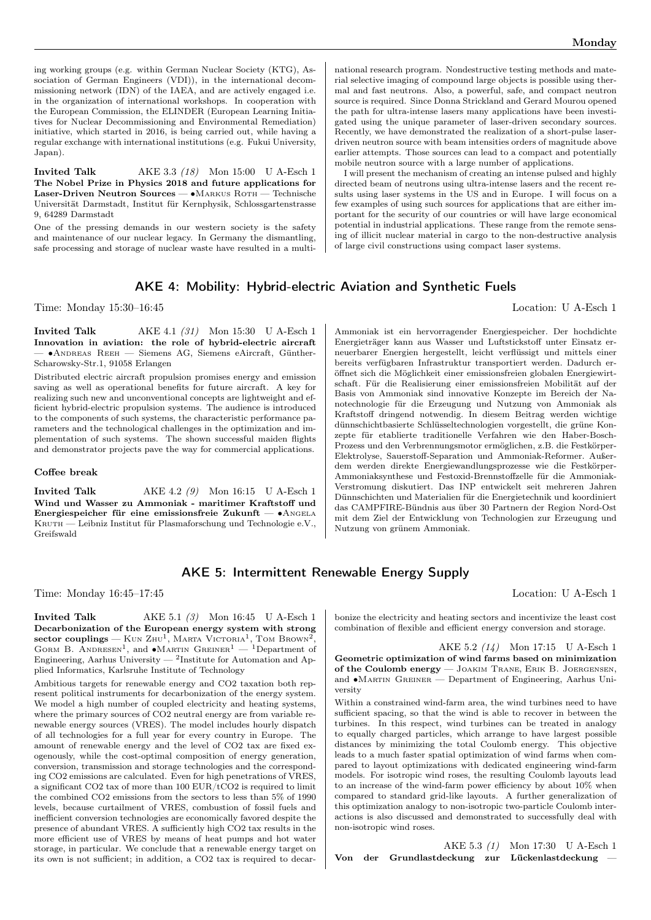ing working groups (e.g. within German Nuclear Society (KTG), Association of German Engineers (VDI)), in the international decommissioning network (IDN) of the IAEA, and are actively engaged i.e. in the organization of international workshops. In cooperation with the European Commission, the ELINDER (European Learning Initiatives for Nuclear Decommissioning and Environmental Remediation) initiative, which started in 2016, is being carried out, while having a regular exchange with international institutions (e.g. Fukui University, Japan).

Invited Talk AKE 3.3 (18) Mon 15:00 U A-Esch 1 The Nobel Prize in Physics 2018 and future applications for Laser-Driven Neutron Sources — ∙Markus Roth — Technische Universität Darmstadt, Institut für Kernphysik, Schlossgartenstrasse 9, 64289 Darmstadt

One of the pressing demands in our western society is the safety and maintenance of our nuclear legacy. In Germany the dismantling, safe processing and storage of nuclear waste have resulted in a multi-

national research program. Nondestructive testing methods and material selective imaging of compound large objects is possible using thermal and fast neutrons. Also, a powerful, safe, and compact neutron source is required. Since Donna Strickland and Gerard Mourou opened the path for ultra-intense lasers many applications have been investigated using the unique parameter of laser-driven secondary sources. Recently, we have demonstrated the realization of a short-pulse laserdriven neutron source with beam intensities orders of magnitude above earlier attempts. Those sources can lead to a compact and potentially mobile neutron source with a large number of applications.

I will present the mechanism of creating an intense pulsed and highly directed beam of neutrons using ultra-intense lasers and the recent results using laser systems in the US and in Europe. I will focus on a few examples of using such sources for applications that are either important for the security of our countries or will have large economical potential in industrial applications. These range from the remote sensing of illicit nuclear material in cargo to the non-destructive analysis of large civil constructions using compact laser systems.

## AKE 4: Mobility: Hybrid-electric Aviation and Synthetic Fuels

Time: Monday 15:30–16:45 Location: U A-Esch 1

**Invited Talk** AKE 4.1 (31) Mon 15:30 U A-Esch 1 Innovation in aviation: the role of hybrid-electric aircraft — ∙Andreas Reeh — Siemens AG, Siemens eAircraft, Günther-Scharowsky-Str.1, 91058 Erlangen

Distributed electric aircraft propulsion promises energy and emission saving as well as operational benefits for future aircraft. A key for realizing such new and unconventional concepts are lightweight and efficient hybrid-electric propulsion systems. The audience is introduced to the components of such systems, the characteristic performance parameters and the technological challenges in the optimization and implementation of such systems. The shown successful maiden flights and demonstrator projects pave the way for commercial applications.

### Coffee break

**Invited Talk**  $AKE 4.2 (9)$  Mon 16:15 U A-Esch 1 Wind und Wasser zu Ammoniak - maritimer Kraftstoff und Energiespeicher für eine emissionsfreie Zukunft — ∙Angela KRUTH — Leibniz Institut für Plasmaforschung und Technologie e.V., Greifswald

Ammoniak ist ein hervorragender Energiespeicher. Der hochdichte Energieträger kann aus Wasser und Luftstickstoff unter Einsatz erneuerbarer Energien hergestellt, leicht verflüssigt und mittels einer bereits verfügbaren Infrastruktur transportiert werden. Dadurch eröffnet sich die Möglichkeit einer emissionsfreien globalen Energiewirtschaft. Für die Realisierung einer emissionsfreien Mobilität auf der Basis von Ammoniak sind innovative Konzepte im Bereich der Nanotechnologie für die Erzeugung und Nutzung von Ammoniak als Kraftstoff dringend notwendig. In diesem Beitrag werden wichtige dünnschichtbasierte Schlüsseltechnologien vorgestellt, die grüne Konzepte für etablierte traditionelle Verfahren wie den Haber-Bosch-Prozess und den Verbrennungsmotor ermöglichen, z.B. die Festkörper-Elektrolyse, Sauerstoff-Separation und Ammoniak-Reformer. Außerdem werden direkte Energiewandlungsprozesse wie die Festkörper-Ammoniaksynthese und Festoxid-Brennstoffzelle für die Ammoniak-Verstromung diskutiert. Das INP entwickelt seit mehreren Jahren Dünnschichten und Materialien für die Energietechnik und koordiniert das CAMPFIRE-Bündnis aus über 30 Partnern der Region Nord-Ost mit dem Ziel der Entwicklung von Technologien zur Erzeugung und Nutzung von grünem Ammoniak.

### AKE 5: Intermittent Renewable Energy Supply

Time: Monday 16:45–17:45 Location: U A-Esch 1

**Invited Talk**  $AKE$  5.1 (3) Mon 16:45 U A-Esch 1 Decarbonization of the European energy system with strong  $\rm sector~couplings - K$ un  $\rm ZHU^1$ , Marta Victoria<sup>1</sup>, Tom Brown<sup>2</sup> , GORM B. ANDRESEN<sup>1</sup>, and •MARTIN GREINER<sup>1</sup> — <sup>1</sup>Department of Engineering, Aarhus University —  $^2$ Institute for Automation and Applied Informatics, Karlsruhe Institute of Technology

Ambitious targets for renewable energy and CO2 taxation both represent political instruments for decarbonization of the energy system. We model a high number of coupled electricity and heating systems, where the primary sources of CO2 neutral energy are from variable renewable energy sources (VRES). The model includes hourly dispatch of all technologies for a full year for every country in Europe. The amount of renewable energy and the level of CO2 tax are fixed exogenously, while the cost-optimal composition of energy generation, conversion, transmission and storage technologies and the corresponding CO2 emissions are calculated. Even for high penetrations of VRES, a significant CO2 tax of more than 100 EUR/tCO2 is required to limit the combined CO2 emissions from the sectors to less than 5% of 1990 levels, because curtailment of VRES, combustion of fossil fuels and inefficient conversion technologies are economically favored despite the presence of abundant VRES. A sufficiently high CO2 tax results in the more efficient use of VRES by means of heat pumps and hot water storage, in particular. We conclude that a renewable energy target on its own is not sufficient; in addition, a CO2 tax is required to decar-

bonize the electricity and heating sectors and incentivize the least cost combination of flexible and efficient energy conversion and storage.

AKE 5.2 (14) Mon 17:15 U A-Esch 1 Geometric optimization of wind farms based on minimization of the Coulomb energy — Joakim Trane, Erik B. Joergensen, and ∙Martin Greiner — Department of Engineering, Aarhus University

Within a constrained wind-farm area, the wind turbines need to have sufficient spacing, so that the wind is able to recover in between the turbines. In this respect, wind turbines can be treated in analogy to equally charged particles, which arrange to have largest possible distances by minimizing the total Coulomb energy. This objective leads to a much faster spatial optimization of wind farms when compared to layout optimizations with dedicated engineering wind-farm models. For isotropic wind roses, the resulting Coulomb layouts lead to an increase of the wind-farm power efficiency by about 10% when compared to standard grid-like layouts. A further generalization of this optimization analogy to non-isotropic two-particle Coulomb interactions is also discussed and demonstrated to successfully deal with non-isotropic wind roses.

AKE 5.3 (1) Mon 17:30 U A-Esch 1 Von der Grundlastdeckung zur Lückenlastdeckung —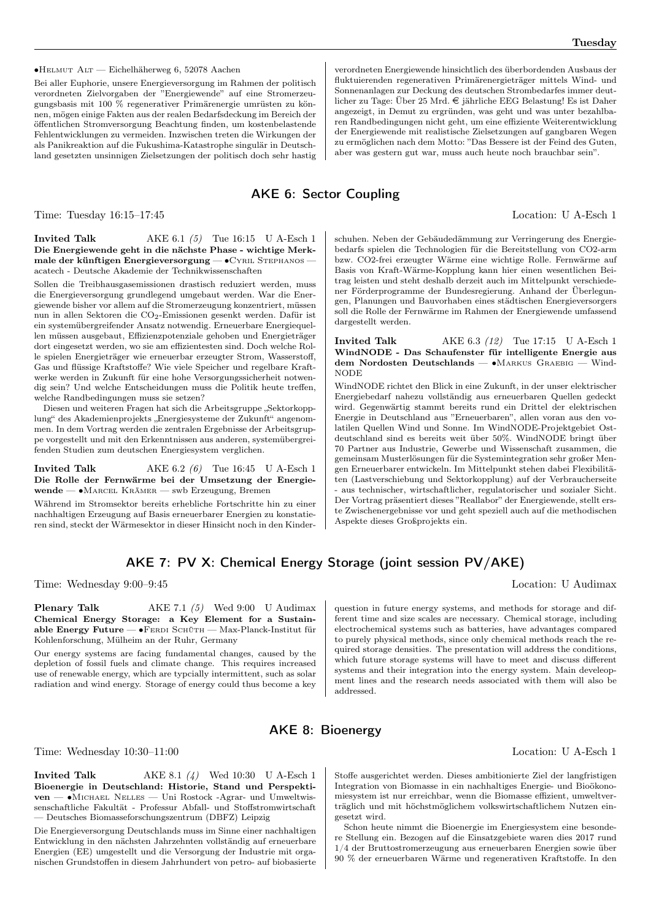∙Helmut Alt — Eichelhäherweg 6, 52078 Aachen

Bei aller Euphorie, unsere Energieversorgung im Rahmen der politisch verordneten Zielvorgaben der "Energiewende" auf eine Stromerzeugungsbasis mit 100 % regenerativer Primärenergie umrüsten zu können, mögen einige Fakten aus der realen Bedarfsdeckung im Bereich der öffentlichen Stromversorgung Beachtung finden, um kostenbelastende Fehlentwicklungen zu vermeiden. Inzwischen treten die Wirkungen der als Panikreaktion auf die Fukushima-Katastrophe singulär in Deutschland gesetzten unsinnigen Zielsetzungen der politisch doch sehr hastig

# AKE 6: Sector Coupling

Time: Tuesday 16:15–17:45 Location: U A-Esch 1

### **Invited Talk**  $AKE 6.1 (5)$  Tue 16:15 U A-Esch 1 Die Energiewende geht in die nächste Phase - wichtige Merkmale der künftigen Energieversorgung — • CYRIL STEPHANOS acatech - Deutsche Akademie der Technikwissenschaften

Sollen die Treibhausgasemissionen drastisch reduziert werden, muss die Energieversorgung grundlegend umgebaut werden. War die Energiewende bisher vor allem auf die Stromerzeugung konzentriert, müssen nun in allen Sektoren die CO2-Emissionen gesenkt werden. Dafür ist ein systemübergreifender Ansatz notwendig. Erneuerbare Energiequellen müssen ausgebaut, Effizienzpotenziale gehoben und Energieträger dort eingesetzt werden, wo sie am effizientesten sind. Doch welche Rolle spielen Energieträger wie erneuerbar erzeugter Strom, Wasserstoff, Gas und flüssige Kraftstoffe? Wie viele Speicher und regelbare Kraftwerke werden in Zukunft für eine hohe Versorgungssicherheit notwendig sein? Und welche Entscheidungen muss die Politik heute treffen, welche Randbedingungen muss sie setzen?

Diesen und weiteren Fragen hat sich die Arbeitsgruppe "Sektorkopplung" des Akademienprojekts "Energiesysteme der Zukunft" angenommen. In dem Vortrag werden die zentralen Ergebnisse der Arbeitsgruppe vorgestellt und mit den Erkenntnissen aus anderen, systemübergreifenden Studien zum deutschen Energiesystem verglichen.

**Invited Talk**  $AKE 6.2 (6)$  Tue 16:45 U A-Esch 1 Die Rolle der Fernwärme bei der Umsetzung der Energiewende — ∙Marcel Krämer — swb Erzeugung, Bremen

Während im Stromsektor bereits erhebliche Fortschritte hin zu einer nachhaltigen Erzeugung auf Basis erneuerbarer Energien zu konstatieren sind, steckt der Wärmesektor in dieser Hinsicht noch in den Kinder-

### AKE 7: PV X: Chemical Energy Storage (joint session PV/AKE)

Time: Wednesday 9:00–9:45 Location: U Audimax

Plenary Talk AKE 7.1 (5) Wed 9:00 U Audimax Chemical Energy Storage: a Key Element for a Sustainable Energy Future —  $\bullet$ FERDI SCHÜTH — Max-Planck-Institut für Kohlenforschung, Mülheim an der Ruhr, Germany

Our energy systems are facing fundamental changes, caused by the depletion of fossil fuels and climate change. This requires increased use of renewable energy, which are typcially intermittent, such as solar radiation and wind energy. Storage of energy could thus become a key

verordneten Energiewende hinsichtlich des überbordenden Ausbaus der fluktuierenden regenerativen Primärenergieträger mittels Wind- und Sonnenanlagen zur Deckung des deutschen Strombedarfes immer deutlicher zu Tage: Über 25 Mrd.  $\in$  jährliche EEG Belastung! Es ist Daher angezeigt, in Demut zu ergründen, was geht und was unter bezahlbaren Randbedingungen nicht geht, um eine effiziente Weiterentwicklung der Energiewende mit realistische Zielsetzungen auf gangbaren Wegen zu ermöglichen nach dem Motto: "Das Bessere ist der Feind des Guten, aber was gestern gut war, muss auch heute noch brauchbar sein".

schuhen. Neben der Gebäudedämmung zur Verringerung des Energiebedarfs spielen die Technologien für die Bereitstellung von CO2-arm bzw. CO2-frei erzeugter Wärme eine wichtige Rolle. Fernwärme auf Basis von Kraft-Wärme-Kopplung kann hier einen wesentlichen Beitrag leisten und steht deshalb derzeit auch im Mittelpunkt verschiedener Förderprogramme der Bundesregierung. Anhand der Überlegungen, Planungen und Bauvorhaben eines städtischen Energieversorgers soll die Rolle der Fernwärme im Rahmen der Energiewende umfassend dargestellt werden.

### **Invited Talk**  $AKE 6.3 (12)$  Tue 17:15 U A-Esch 1 WindNODE - Das Schaufenster für intelligente Energie aus dem Nordosten Deutschlands — ∙Markus Graebig — Wind-NODE

WindNODE richtet den Blick in eine Zukunft, in der unser elektrischer Energiebedarf nahezu vollständig aus erneuerbaren Quellen gedeckt wird. Gegenwärtig stammt bereits rund ein Drittel der elektrischen Energie in Deutschland aus "Erneuerbaren", allen voran aus den volatilen Quellen Wind und Sonne. Im WindNODE-Projektgebiet Ostdeutschland sind es bereits weit über 50%. WindNODE bringt über 70 Partner aus Industrie, Gewerbe und Wissenschaft zusammen, die gemeinsam Musterlösungen für die Systemintegration sehr großer Mengen Erneuerbarer entwickeln. Im Mittelpunkt stehen dabei Flexibilitäten (Lastverschiebung und Sektorkopplung) auf der Verbraucherseite aus technischer, wirtschaftlicher, regulatorischer und sozialer Sicht. Der Vortrag präsentiert dieses "Reallabor" der Energiewende, stellt erste Zwischenergebnisse vor und geht speziell auch auf die methodischen Aspekte dieses Großprojekts ein.

question in future energy systems, and methods for storage and different time and size scales are necessary. Chemical storage, including electrochemical systems such as batteries, have advantages compared to purely physical methods, since only chemical methods reach the required storage densities. The presentation will address the conditions, which future storage systems will have to meet and discuss different systems and their integration into the energy system. Main develeopment lines and the research needs associated with them will also be addressed.

### AKE 8: Bioenergy

Time: Wednesday 10:30–11:00 Location: U A-Esch 1

**Invited Talk**  $AKE 8.1 (4)$  Wed 10:30 U A-Esch 1 Bioenergie in Deutschland: Historie, Stand und Perspektiven — ∙Michael Nelles — Uni Rostock -Agrar- und Umweltwissenschaftliche Fakultät - Professur Abfall- und Stoffstromwirtschaft — Deutsches Biomasseforschungszentrum (DBFZ) Leipzig

Die Energieversorgung Deutschlands muss im Sinne einer nachhaltigen Entwicklung in den nächsten Jahrzehnten vollständig auf erneuerbare Energien (EE) umgestellt und die Versorgung der Industrie mit organischen Grundstoffen in diesem Jahrhundert von petro- auf biobasierte

Stoffe ausgerichtet werden. Dieses ambitionierte Ziel der langfristigen Integration von Biomasse in ein nachhaltiges Energie- und Bioökonomiesystem ist nur erreichbar, wenn die Biomasse effizient, umweltverträglich und mit höchstmöglichem volkswirtschaftlichem Nutzen eingesetzt wird.

Schon heute nimmt die Bioenergie im Energiesystem eine besondere Stellung ein. Bezogen auf die Einsatzgebiete waren dies 2017 rund 1/4 der Bruttostromerzeugung aus erneuerbaren Energien sowie über 90 % der erneuerbaren Wärme und regenerativen Kraftstoffe. In den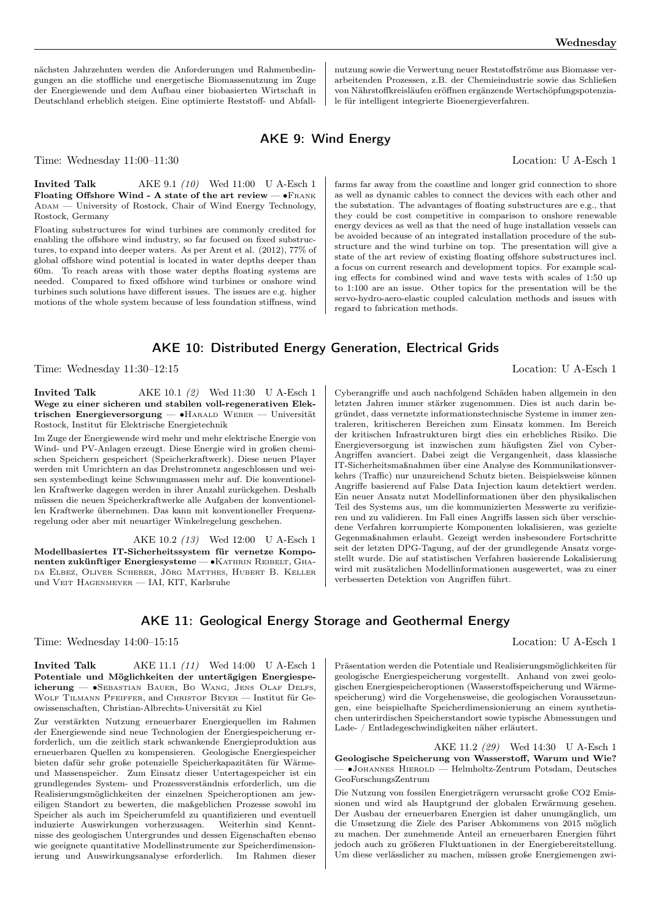nutzung sowie die Verwertung neuer Reststoffströme aus Biomasse verarbeitenden Prozessen, z.B. der Chemieindustrie sowie das Schließen von Nährstoffkreisläufen eröffnen ergänzende Wertschöpfungspotenziale für intelligent integrierte Bioenergieverfahren.

## AKE 9: Wind Energy

Time: Wednesday 11:00–11:30 Location: U A-Esch 1

**Invited Talk** AKE 9.1 (10) Wed 11:00 U A-Esch 1 Floating Offshore Wind - A state of the art review — ∙Frank ADAM — University of Rostock, Chair of Wind Energy Technology, Rostock, Germany

Floating substructures for wind turbines are commonly credited for enabling the offshore wind industry, so far focused on fixed substructures, to expand into deeper waters. As per Arent et al. (2012), 77% of global offshore wind potential is located in water depths deeper than 60m. To reach areas with those water depths floating systems are needed. Compared to fixed offshore wind turbines or onshore wind turbines such solutions have different issues. The issues are e.g. higher motions of the whole system because of less foundation stiffness, wind

### farms far away from the coastline and longer grid connection to shore as well as dynamic cables to connect the devices with each other and the substation. The advantages of floating substructures are e.g., that they could be cost competitive in comparison to onshore renewable energy devices as well as that the need of huge installation vessels can be avoided because of an integrated installation procedure of the substructure and the wind turbine on top. The presentation will give a state of the art review of existing floating offshore substructures incl. a focus on current research and development topics. For example scaling effects for combined wind and wave tests with scales of 1:50 up to 1:100 are an issue. Other topics for the presentation will be the servo-hydro-aero-elastic coupled calculation methods and issues with regard to fabrication methods.

### AKE 10: Distributed Energy Generation, Electrical Grids

Time: Wednesday 11:30–12:15 Location: U A-Esch 1

Invited Talk AKE 10.1 (2) Wed 11:30 U A-Esch 1 Wege zu einer sicheren und stabilen voll-regenerativen Elektrischen Energieversorgung — ∙Harald Weber — Universität Rostock, Institut für Elektrische Energietechnik

Im Zuge der Energiewende wird mehr und mehr elektrische Energie von Wind- und PV-Anlagen erzeugt. Diese Energie wird in großen chemischen Speichern gespeichert (Speicherkraftwerk). Diese neuen Player werden mit Umrichtern an das Drehstromnetz angeschlossen und weisen systembedingt keine Schwungmassen mehr auf. Die konventionellen Kraftwerke dagegen werden in ihrer Anzahl zurückgehen. Deshalb müssen die neuen Speicherkraftwerke alle Aufgaben der konventionellen Kraftwerke übernehmen. Das kann mit konventioneller Frequenzregelung oder aber mit neuartiger Winkelregelung geschehen.

AKE 10.2 (13) Wed 12:00 U A-Esch 1 Modellbasiertes IT-Sicherheitssystem für vernetze Komponenten zukünftiger Energiesysteme — •KATHRIN REIBELT, GHAda Elbez, Oliver Scherer, Jörg Matthes, Hubert B. Keller und Veit Hagenmeyer — IAI, KIT, Karlsruhe

Cyberangriffe und auch nachfolgend Schäden haben allgemein in den letzten Jahren immer stärker zugenommen. Dies ist auch darin begründet, dass vernetzte informationstechnische Systeme in immer zentraleren, kritischeren Bereichen zum Einsatz kommen. Im Bereich der kritischen Infrastrukturen birgt dies ein erhebliches Risiko. Die Energieversorgung ist inzwischen zum häufigsten Ziel von Cyber-Angriffen avanciert. Dabei zeigt die Vergangenheit, dass klassische IT-Sicherheitsmaßnahmen über eine Analyse des Kommunikationsverkehrs (Traffic) nur unzureichend Schutz bieten. Beispielsweise können Angriffe basierend auf False Data Injection kaum detektiert werden. Ein neuer Ansatz nutzt Modellinformationen über den physikalischen Teil des Systems aus, um die kommunizierten Messwerte zu verifizieren und zu validieren. Im Fall eines Angriffs lassen sich über verschiedene Verfahren korrumpierte Komponenten lokalisieren, was gezielte Gegenmaßnahmen erlaubt. Gezeigt werden insbesondere Fortschritte seit der letzten DPG-Tagung, auf der der grundlegende Ansatz vorgestellt wurde. Die auf statistischen Verfahren basierende Lokalisierung wird mit zusätzlichen Modellinformationen ausgewertet, was zu einer verbesserten Detektion von Angriffen führt.

## AKE 11: Geological Energy Storage and Geothermal Energy

Time: Wednesday 14:00–15:15 Location: U A-Esch 1

**Invited Talk** AKE 11.1 (11) Wed 14:00 U A-Esch 1 Potentiale und Möglichkeiten der untertägigen Energiespeicherung — ∙Sebastian Bauer, Bo Wang, Jens Olaf Delfs, WOLF TILMANN PFEIFFER, and CHRISTOF BEYER — Institut für Geowissenschaften, Christian-Albrechts-Universität zu Kiel

Zur verstärkten Nutzung erneuerbarer Energiequellen im Rahmen der Energiewende sind neue Technologien der Energiespeicherung erforderlich, um die zeitlich stark schwankende Energieproduktion aus erneuerbaren Quellen zu kompensieren. Geologische Energiespeicher bieten dafür sehr große potenzielle Speicherkapazitäten für Wärmeund Massenspeicher. Zum Einsatz dieser Untertagespeicher ist ein grundlegendes System- und Prozessverständnis erforderlich, um die Realisierungsmöglichkeiten der einzelnen Speicheroptionen am jeweiligen Standort zu bewerten, die maßgeblichen Prozesse sowohl im Speicher als auch im Speicherumfeld zu quantifizieren und eventuell induzierte Auswirkungen vorherzusagen. Weiterhin sind Kenntnisse des geologischen Untergrundes und dessen Eigenschaften ebenso wie geeignete quantitative Modellinstrumente zur Speicherdimensionierung und Auswirkungsanalyse erforderlich. Im Rahmen dieser

Präsentation werden die Potentiale und Realisierungsmöglichkeiten für geologische Energiespeicherung vorgestellt. Anhand von zwei geologischen Energiespeicheroptionen (Wasserstoffspeicherung und Wärmespeicherung) wird die Vorgehensweise, die geologischen Voraussetzungen, eine beispielhafte Speicherdimensionierung an einem synthetischen unterirdischen Speicherstandort sowie typische Abmessungen und Lade- / Entladegeschwindigkeiten näher erläutert.

AKE 11.2 (29) Wed 14:30 U A-Esch 1 Geologische Speicherung von Wasserstoff, Warum und Wie? — ∙Johannes Hierold — Helmholtz-Zentrum Potsdam, Deutsches GeoForschungsZentrum

Die Nutzung von fossilen Energieträgern verursacht große CO2 Emissionen und wird als Hauptgrund der globalen Erwärmung gesehen. Der Ausbau der erneuerbaren Energien ist daher unumgänglich, um die Umsetzung die Ziele des Pariser Abkommens von 2015 möglich zu machen. Der zunehmende Anteil an erneuerbaren Energien führt jedoch auch zu größeren Fluktuationen in der Energiebereitstellung. Um diese verlässlicher zu machen, müssen große Energiemengen zwi-

nächsten Jahrzehnten werden die Anforderungen und Rahmenbedingungen an die stoffliche und energetische Biomassenutzung im Zuge der Energiewende und dem Aufbau einer biobasierten Wirtschaft in Deutschland erheblich steigen. Eine optimierte Reststoff- und Abfall-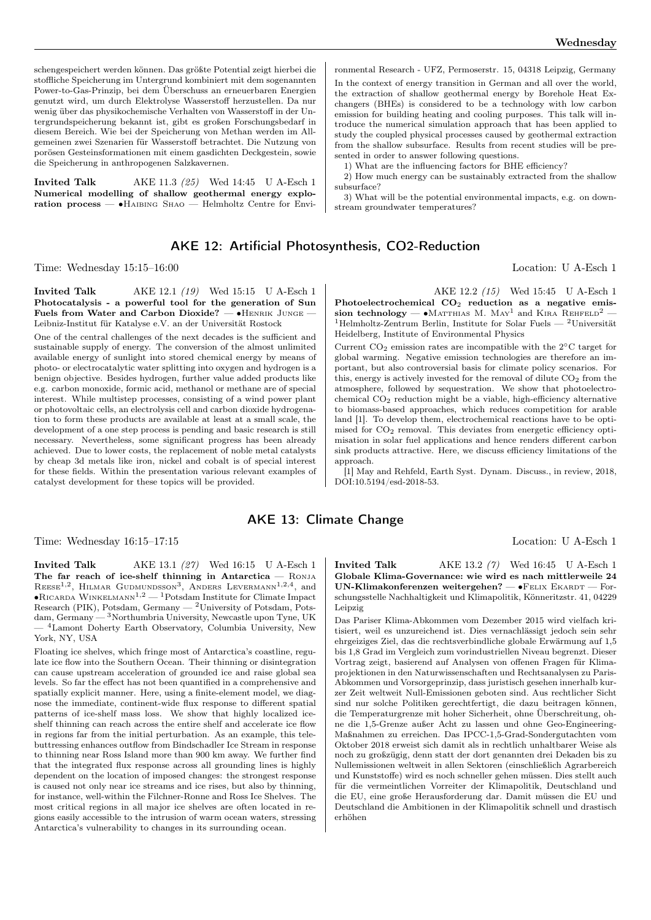schengespeichert werden können. Das größte Potential zeigt hierbei die stoffliche Speicherung im Untergrund kombiniert mit dem sogenannten Power-to-Gas-Prinzip, bei dem Überschuss an erneuerbaren Energien genutzt wird, um durch Elektrolyse Wasserstoff herzustellen. Da nur wenig über das physikochemische Verhalten von Wasserstoff in der Untergrundspeicherung bekannt ist, gibt es großen Forschungsbedarf in diesem Bereich. Wie bei der Speicherung von Methan werden im Allgemeinen zwei Szenarien für Wasserstoff betrachtet. Die Nutzung von porösen Gesteinsformationen mit einem gasdichten Deckgestein, sowie die Speicherung in anthropogenen Salzkavernen.

**Invited Talk** AKE 11.3 (25) Wed 14:45 U A-Esch 1 Numerical modelling of shallow geothermal energy exploration process — ∙Haibing Shao — Helmholtz Centre for Envi-

### AKE 12: Artificial Photosynthesis, CO2-Reduction

Time: Wednesday 15:15–16:00 Location: U A-Esch 1

Invited Talk AKE 12.1 (19) Wed 15:15 U A-Esch 1 Photocatalysis - a powerful tool for the generation of Sun Fuels from Water and Carbon Dioxide? — ∙Henrik Junge — Leibniz-Institut für Katalyse e.V. an der Universität Rostock

One of the central challenges of the next decades is the sufficient and sustainable supply of energy. The conversion of the almost unlimited available energy of sunlight into stored chemical energy by means of photo- or electrocatalytic water splitting into oxygen and hydrogen is a benign objective. Besides hydrogen, further value added products like e.g. carbon monoxide, formic acid, methanol or methane are of special interest. While multistep processes, consisting of a wind power plant or photovoltaic cells, an electrolysis cell and carbon dioxide hydrogenation to form these products are available at least at a small scale, the development of a one step process is pending and basic research is still necessary. Nevertheless, some significant progress has been already achieved. Due to lower costs, the replacement of noble metal catalysts by cheap 3d metals like iron, nickel and cobalt is of special interest for these fields. Within the presentation various relevant examples of catalyst development for these topics will be provided.

ronmental Research - UFZ, Permoserstr. 15, 04318 Leipzig, Germany In the context of energy transition in German and all over the world, the extraction of shallow geothermal energy by Borehole Heat Exchangers (BHEs) is considered to be a technology with low carbon emission for building heating and cooling purposes. This talk will introduce the numerical simulation approach that has been applied to study the coupled physical processes caused by geothermal extraction from the shallow subsurface. Results from recent studies will be presented in order to answer following questions.

1) What are the influencing factors for BHE efficiency?

2) How much energy can be sustainably extracted from the shallow subsurface?

3) What will be the potential environmental impacts, e.g. on downstream groundwater temperatures?

AKE 12.2 (15) Wed 15:45 U A-Esch 1 Photoelectrochemical CO<sub>2</sub> reduction as a negative emission technology — •Matthias M. May<sup>1</sup> and Kira Rehfeld<sup>2</sup> —  $^1\mathrm{Helmholtz-Zentrum}$  Berlin, Institute for Solar Fuels —  $^2\mathrm{Universität}$ Heidelberg, Institute of Environmental Physics

Current CO<sup>2</sup> emission rates are incompatible with the 2∘C target for global warming. Negative emission technologies are therefore an important, but also controversial basis for climate policy scenarios. For this, energy is actively invested for the removal of dilute  $CO<sub>2</sub>$  from the atmosphere, followed by sequestration. We show that photoelectrochemical CO<sup>2</sup> reduction might be a viable, high-efficiency alternative to biomass-based approaches, which reduces competition for arable land [1]. To develop them, electrochemical reactions have to be optimised for  $CO<sub>2</sub>$  removal. This deviates from energetic efficiency optimisation in solar fuel applications and hence renders different carbon sink products attractive. Here, we discuss efficiency limitations of the approach.

[1] May and Rehfeld, Earth Syst. Dynam. Discuss., in review, 2018, DOI:10.5194/esd-2018-53.

### AKE 13: Climate Change

Time: Wednesday 16:15–17:15 Location: U A-Esch 1

**Invited Talk** AKE 13.1 (27) Wed 16:15 U A-Esch 1 The far reach of ice-shelf thinning in Antarctica - RONJA REESE<sup>1,2</sup>, HILMAR GUDMUNDSSON<sup>3</sup>, ANDERS LEVERMANN<sup>1,2,4</sup>, and ∙Ricarda Winkelmann1,<sup>2</sup> — <sup>1</sup>Potsdam Institute for Climate Impact Research (PIK), Potsdam, Germany  $-2$ University of Potsdam, Potsdam, Germany — <sup>3</sup>Northumbria University, Newcastle upon Tyne, UK — <sup>4</sup>Lamont Doherty Earth Observatory, Columbia University, New York, NY, USA

Floating ice shelves, which fringe most of Antarctica's coastline, regulate ice flow into the Southern Ocean. Their thinning or disintegration can cause upstream acceleration of grounded ice and raise global sea levels. So far the effect has not been quantified in a comprehensive and spatially explicit manner. Here, using a finite-element model, we diagnose the immediate, continent-wide flux response to different spatial patterns of ice-shelf mass loss. We show that highly localized iceshelf thinning can reach across the entire shelf and accelerate ice flow in regions far from the initial perturbation. As an example, this telebuttressing enhances outflow from Bindschadler Ice Stream in response to thinning near Ross Island more than 900 km away. We further find that the integrated flux response across all grounding lines is highly dependent on the location of imposed changes: the strongest response is caused not only near ice streams and ice rises, but also by thinning, for instance, well-within the Filchner-Ronne and Ross Ice Shelves. The most critical regions in all major ice shelves are often located in regions easily accessible to the intrusion of warm ocean waters, stressing Antarctica's vulnerability to changes in its surrounding ocean.

**Invited Talk** AKE 13.2 (7) Wed 16:45 U A-Esch 1 Globale Klima-Governance: wie wird es nach mittlerweile 24 UN-Klimakonferenzen weitergehen? —  $\bullet$ FELIX EKARDT — Forschungsstelle Nachhaltigkeit und Klimapolitik, Könneritzstr. 41, 04229 Leipzig

Das Pariser Klima-Abkommen vom Dezember 2015 wird vielfach kritisiert, weil es unzureichend ist. Dies vernachlässigt jedoch sein sehr ehrgeiziges Ziel, das die rechtsverbindliche globale Erwärmung auf 1,5 bis 1,8 Grad im Vergleich zum vorindustriellen Niveau begrenzt. Dieser Vortrag zeigt, basierend auf Analysen von offenen Fragen für Klimaprojektionen in den Naturwissenschaften und Rechtsanalysen zu Paris-Abkommen und Vorsorgeprinzip, dass juristisch gesehen innerhalb kurzer Zeit weltweit Null-Emissionen geboten sind. Aus rechtlicher Sicht sind nur solche Politiken gerechtfertigt, die dazu beitragen können, die Temperaturgrenze mit hoher Sicherheit, ohne Überschreitung, ohne die 1,5-Grenze außer Acht zu lassen und ohne Geo-Engineering-Maßnahmen zu erreichen. Das IPCC-1,5-Grad-Sondergutachten vom Oktober 2018 erweist sich damit als in rechtlich unhaltbarer Weise als noch zu großzügig, denn statt der dort genannten drei Dekaden bis zu Nullemissionen weltweit in allen Sektoren (einschließlich Agrarbereich und Kunststoffe) wird es noch schneller gehen müssen. Dies stellt auch für die vermeintlichen Vorreiter der Klimapolitik, Deutschland und die EU, eine große Herausforderung dar. Damit müssen die EU und Deutschland die Ambitionen in der Klimapolitik schnell und drastisch erhöhen